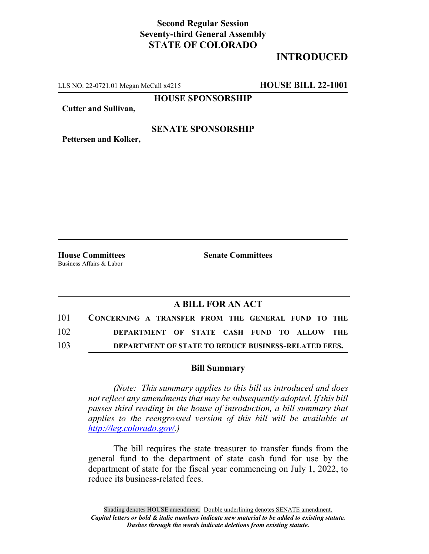# **Second Regular Session Seventy-third General Assembly STATE OF COLORADO**

# **INTRODUCED**

LLS NO. 22-0721.01 Megan McCall x4215 **HOUSE BILL 22-1001**

**HOUSE SPONSORSHIP**

**Cutter and Sullivan,**

#### **SENATE SPONSORSHIP**

**Pettersen and Kolker,**

Business Affairs & Labor

**House Committees Senate Committees**

### **A BILL FOR AN ACT**

| 101 | CONCERNING A TRANSFER FROM THE GENERAL FUND TO THE          |
|-----|-------------------------------------------------------------|
| 102 | DEPARTMENT OF STATE CASH FUND TO ALLOW THE                  |
| 103 | <b>DEPARTMENT OF STATE TO REDUCE BUSINESS-RELATED FEES.</b> |

#### **Bill Summary**

*(Note: This summary applies to this bill as introduced and does not reflect any amendments that may be subsequently adopted. If this bill passes third reading in the house of introduction, a bill summary that applies to the reengrossed version of this bill will be available at http://leg.colorado.gov/.)*

The bill requires the state treasurer to transfer funds from the general fund to the department of state cash fund for use by the department of state for the fiscal year commencing on July 1, 2022, to reduce its business-related fees.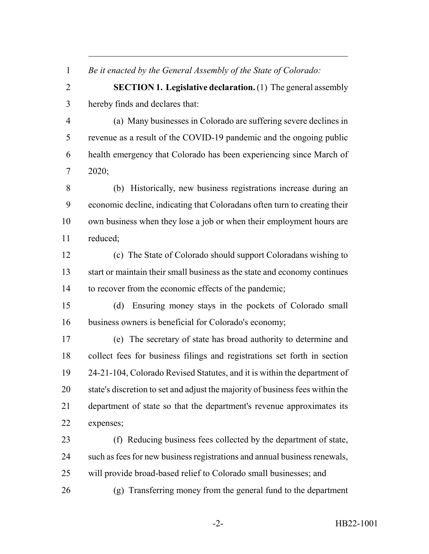*Be it enacted by the General Assembly of the State of Colorado:*

 **SECTION 1. Legislative declaration.** (1) The general assembly hereby finds and declares that:

 (a) Many businesses in Colorado are suffering severe declines in revenue as a result of the COVID-19 pandemic and the ongoing public health emergency that Colorado has been experiencing since March of 2020;

 (b) Historically, new business registrations increase during an economic decline, indicating that Coloradans often turn to creating their own business when they lose a job or when their employment hours are reduced;

 (c) The State of Colorado should support Coloradans wishing to start or maintain their small business as the state and economy continues to recover from the economic effects of the pandemic;

 (d) Ensuring money stays in the pockets of Colorado small business owners is beneficial for Colorado's economy;

 (e) The secretary of state has broad authority to determine and collect fees for business filings and registrations set forth in section 24-21-104, Colorado Revised Statutes, and it is within the department of state's discretion to set and adjust the majority of business fees within the department of state so that the department's revenue approximates its expenses;

 (f) Reducing business fees collected by the department of state, such as fees for new business registrations and annual business renewals, will provide broad-based relief to Colorado small businesses; and

(g) Transferring money from the general fund to the department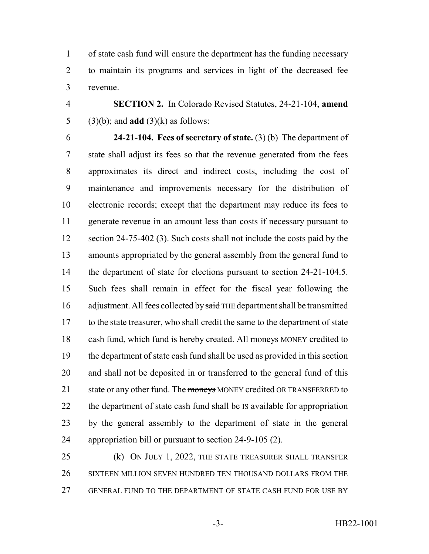of state cash fund will ensure the department has the funding necessary to maintain its programs and services in light of the decreased fee revenue.

 **SECTION 2.** In Colorado Revised Statutes, 24-21-104, **amend** (3)(b); and **add** (3)(k) as follows:

 **24-21-104. Fees of secretary of state.** (3) (b) The department of state shall adjust its fees so that the revenue generated from the fees approximates its direct and indirect costs, including the cost of maintenance and improvements necessary for the distribution of electronic records; except that the department may reduce its fees to generate revenue in an amount less than costs if necessary pursuant to 12 section 24-75-402 (3). Such costs shall not include the costs paid by the amounts appropriated by the general assembly from the general fund to 14 the department of state for elections pursuant to section 24-21-104.5. Such fees shall remain in effect for the fiscal year following the 16 adjustment. All fees collected by said THE department shall be transmitted to the state treasurer, who shall credit the same to the department of state 18 cash fund, which fund is hereby created. All moneys MONEY credited to the department of state cash fund shall be used as provided in this section and shall not be deposited in or transferred to the general fund of this 21 state or any other fund. The moneys MONEY credited OR TRANSFERRED to 22 the department of state cash fund shall be IS available for appropriation by the general assembly to the department of state in the general appropriation bill or pursuant to section 24-9-105 (2).

 (k) ON JULY 1, 2022, THE STATE TREASURER SHALL TRANSFER SIXTEEN MILLION SEVEN HUNDRED TEN THOUSAND DOLLARS FROM THE GENERAL FUND TO THE DEPARTMENT OF STATE CASH FUND FOR USE BY